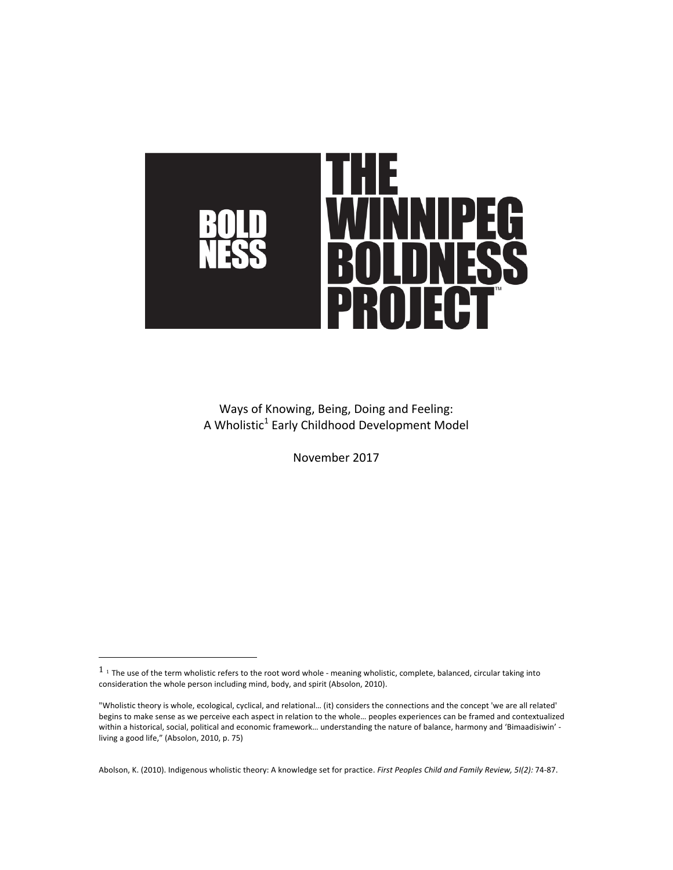

Ways of Knowing, Being, Doing and Feeling: A Wholistic<sup>1</sup> Early Childhood Development Model

November 2017

 

Abolson, K. (2010). Indigenous wholistic theory: A knowledge set for practice. First Peoples Child and Family Review, 5I(2): 74-87.

 $1$  1 The use of the term wholistic refers to the root word whole - meaning wholistic, complete, balanced, circular taking into consideration the whole person including mind, body, and spirit (Absolon, 2010).

<sup>&</sup>quot;Wholistic theory is whole, ecological, cyclical, and relational... (it) considers the connections and the concept 'we are all related' begins to make sense as we perceive each aspect in relation to the whole... peoples experiences can be framed and contextualized within a historical, social, political and economic framework... understanding the nature of balance, harmony and 'Bimaadisiwin' living a good life," (Absolon, 2010, p. 75)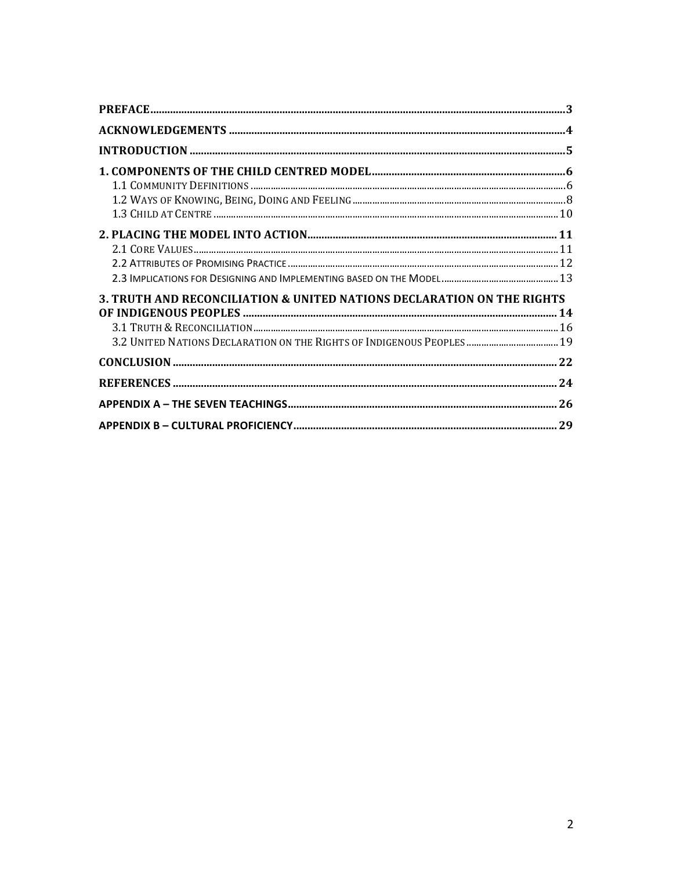| 3. TRUTH AND RECONCILIATION & UNITED NATIONS DECLARATION ON THE RIGHTS |  |
|------------------------------------------------------------------------|--|
|                                                                        |  |
|                                                                        |  |
| 3.2 UNITED NATIONS DECLARATION ON THE RIGHTS OF INDIGENOUS PEOPLES  19 |  |
|                                                                        |  |
|                                                                        |  |
|                                                                        |  |
|                                                                        |  |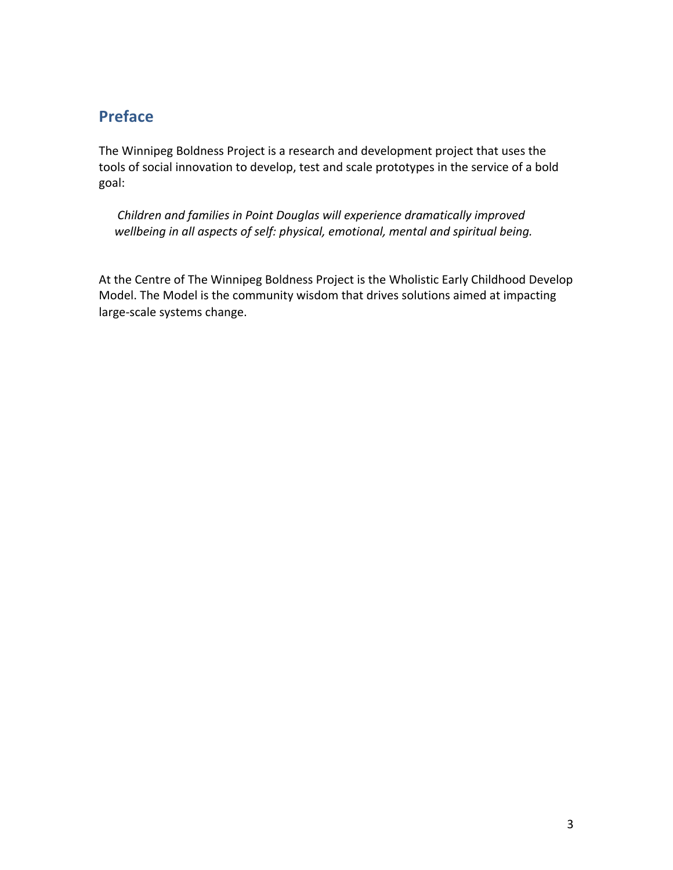# **Preface**

The Winnipeg Boldness Project is a research and development project that uses the tools of social innovation to develop, test and scale prototypes in the service of a bold goal: 

*Children and families in Point Douglas will experience dramatically improved* wellbeing in all aspects of self: physical, emotional, mental and spiritual being.

At the Centre of The Winnipeg Boldness Project is the Wholistic Early Childhood Develop Model. The Model is the community wisdom that drives solutions aimed at impacting large-scale systems change.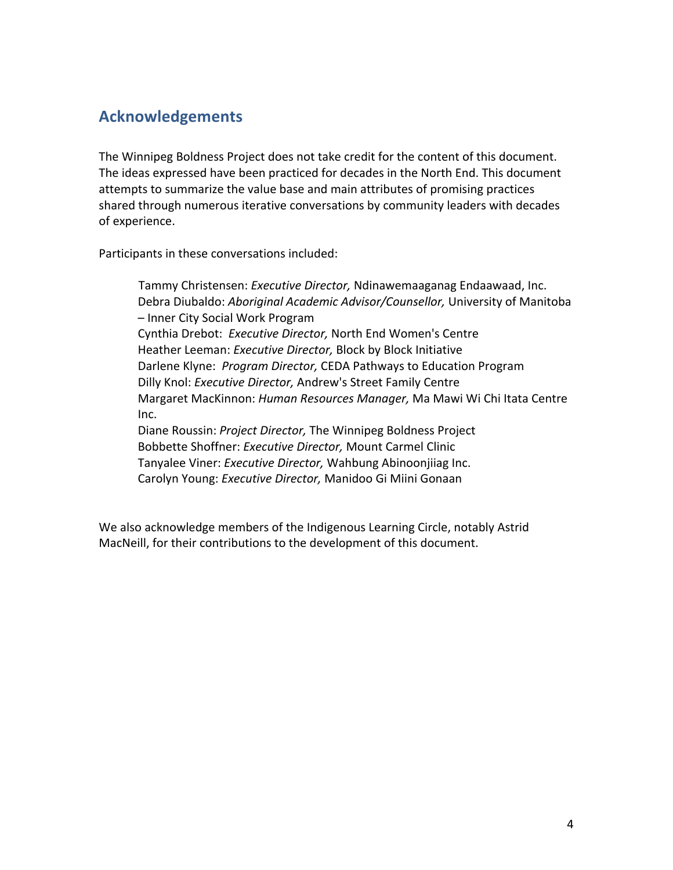# **Acknowledgements**

The Winnipeg Boldness Project does not take credit for the content of this document. The ideas expressed have been practiced for decades in the North End. This document attempts to summarize the value base and main attributes of promising practices shared through numerous iterative conversations by community leaders with decades of experience.

Participants in these conversations included:

Tammy Christensen: *Executive Director,* Ndinawemaaganag Endaawaad, Inc. Debra Diubaldo: *Aboriginal Academic Advisor/Counsellor,* University of Manitoba – Inner City Social Work Program Cynthia Drebot: *Executive Director,* North End Women's Centre Heather Leeman: *Executive Director,* Block by Block Initiative Darlene Klyne: *Program Director,* CEDA Pathways to Education Program Dilly Knol: *Executive Director,* Andrew's Street Family Centre Margaret MacKinnon: *Human Resources Manager,* Ma Mawi Wi Chi Itata Centre Inc. Diane Roussin: *Project Director,* The Winnipeg Boldness Project Bobbette Shoffner: *Executive Director,* Mount Carmel Clinic Tanyalee Viner: *Executive Director,* Wahbung Abinoonjiiag Inc. Carolyn Young: *Executive Director,* Manidoo Gi Miini Gonaan

We also acknowledge members of the Indigenous Learning Circle, notably Astrid MacNeill, for their contributions to the development of this document.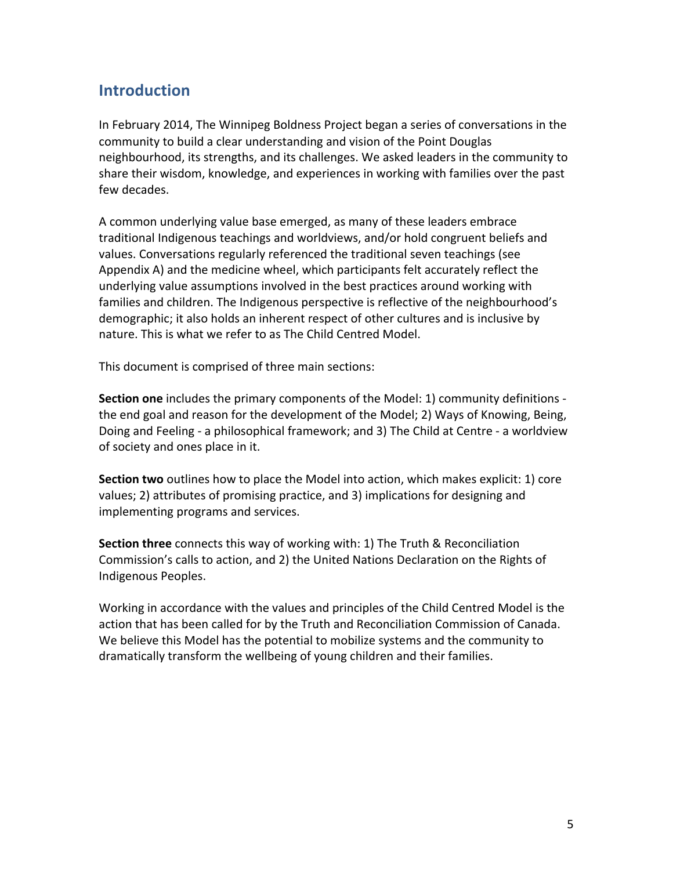# **Introduction**

In February 2014, The Winnipeg Boldness Project began a series of conversations in the community to build a clear understanding and vision of the Point Douglas neighbourhood, its strengths, and its challenges. We asked leaders in the community to share their wisdom, knowledge, and experiences in working with families over the past few decades. 

A common underlying value base emerged, as many of these leaders embrace traditional Indigenous teachings and worldviews, and/or hold congruent beliefs and values. Conversations regularly referenced the traditional seven teachings (see Appendix A) and the medicine wheel, which participants felt accurately reflect the underlying value assumptions involved in the best practices around working with families and children. The Indigenous perspective is reflective of the neighbourhood's demographic; it also holds an inherent respect of other cultures and is inclusive by nature. This is what we refer to as The Child Centred Model.

This document is comprised of three main sections: 

**Section one** includes the primary components of the Model: 1) community definitions the end goal and reason for the development of the Model; 2) Ways of Knowing, Being, Doing and Feeling - a philosophical framework; and 3) The Child at Centre - a worldview of society and ones place in it.

**Section two** outlines how to place the Model into action, which makes explicit: 1) core values; 2) attributes of promising practice, and 3) implications for designing and implementing programs and services.

**Section three** connects this way of working with: 1) The Truth & Reconciliation Commission's calls to action, and 2) the United Nations Declaration on the Rights of Indigenous Peoples.

Working in accordance with the values and principles of the Child Centred Model is the action that has been called for by the Truth and Reconciliation Commission of Canada. We believe this Model has the potential to mobilize systems and the community to dramatically transform the wellbeing of young children and their families.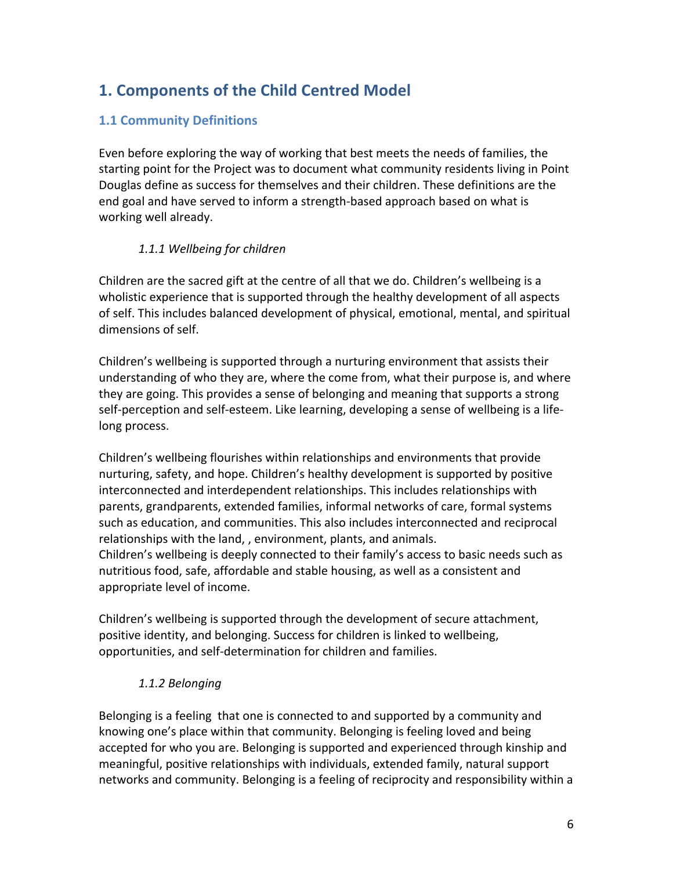# **1. Components of the Child Centred Model**

## **1.1 Community Definitions**

Even before exploring the way of working that best meets the needs of families, the starting point for the Project was to document what community residents living in Point Douglas define as success for themselves and their children. These definitions are the end goal and have served to inform a strength-based approach based on what is working well already.

## *1.1.1 Wellbeing for children*

Children are the sacred gift at the centre of all that we do. Children's wellbeing is a wholistic experience that is supported through the healthy development of all aspects of self. This includes balanced development of physical, emotional, mental, and spiritual dimensions of self.

Children's wellbeing is supported through a nurturing environment that assists their understanding of who they are, where the come from, what their purpose is, and where they are going. This provides a sense of belonging and meaning that supports a strong self-perception and self-esteem. Like learning, developing a sense of wellbeing is a lifelong process.

Children's wellbeing flourishes within relationships and environments that provide nurturing, safety, and hope. Children's healthy development is supported by positive interconnected and interdependent relationships. This includes relationships with parents, grandparents, extended families, informal networks of care, formal systems such as education, and communities. This also includes interconnected and reciprocal relationships with the land, , environment, plants, and animals. Children's wellbeing is deeply connected to their family's access to basic needs such as nutritious food, safe, affordable and stable housing, as well as a consistent and appropriate level of income.

Children's wellbeing is supported through the development of secure attachment, positive identity, and belonging. Success for children is linked to wellbeing, opportunities, and self-determination for children and families.

## *1.1.2 Belonging*

Belonging is a feeling that one is connected to and supported by a community and knowing one's place within that community. Belonging is feeling loved and being accepted for who you are. Belonging is supported and experienced through kinship and meaningful, positive relationships with individuals, extended family, natural support networks and community. Belonging is a feeling of reciprocity and responsibility within a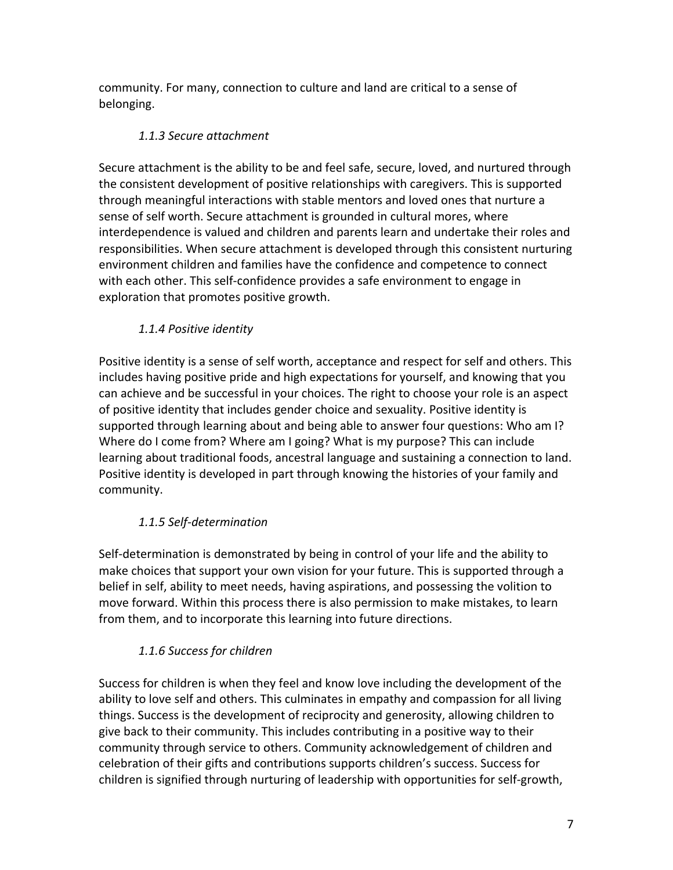community. For many, connection to culture and land are critical to a sense of belonging. 

## *1.1.3 Secure attachment*

Secure attachment is the ability to be and feel safe, secure, loved, and nurtured through the consistent development of positive relationships with caregivers. This is supported through meaningful interactions with stable mentors and loved ones that nurture a sense of self worth. Secure attachment is grounded in cultural mores, where interdependence is valued and children and parents learn and undertake their roles and responsibilities. When secure attachment is developed through this consistent nurturing environment children and families have the confidence and competence to connect with each other. This self-confidence provides a safe environment to engage in exploration that promotes positive growth.

## *1.1.4 Positive identity*

Positive identity is a sense of self worth, acceptance and respect for self and others. This includes having positive pride and high expectations for yourself, and knowing that you can achieve and be successful in your choices. The right to choose your role is an aspect of positive identity that includes gender choice and sexuality. Positive identity is supported through learning about and being able to answer four questions: Who am I? Where do I come from? Where am I going? What is my purpose? This can include learning about traditional foods, ancestral language and sustaining a connection to land. Positive identity is developed in part through knowing the histories of your family and community. 

## *1.1.5 Self-determination*

Self-determination is demonstrated by being in control of your life and the ability to make choices that support your own vision for your future. This is supported through a belief in self, ability to meet needs, having aspirations, and possessing the volition to move forward. Within this process there is also permission to make mistakes, to learn from them, and to incorporate this learning into future directions.

## 1.1.6 Success for children

Success for children is when they feel and know love including the development of the ability to love self and others. This culminates in empathy and compassion for all living things. Success is the development of reciprocity and generosity, allowing children to give back to their community. This includes contributing in a positive way to their community through service to others. Community acknowledgement of children and celebration of their gifts and contributions supports children's success. Success for children is signified through nurturing of leadership with opportunities for self-growth,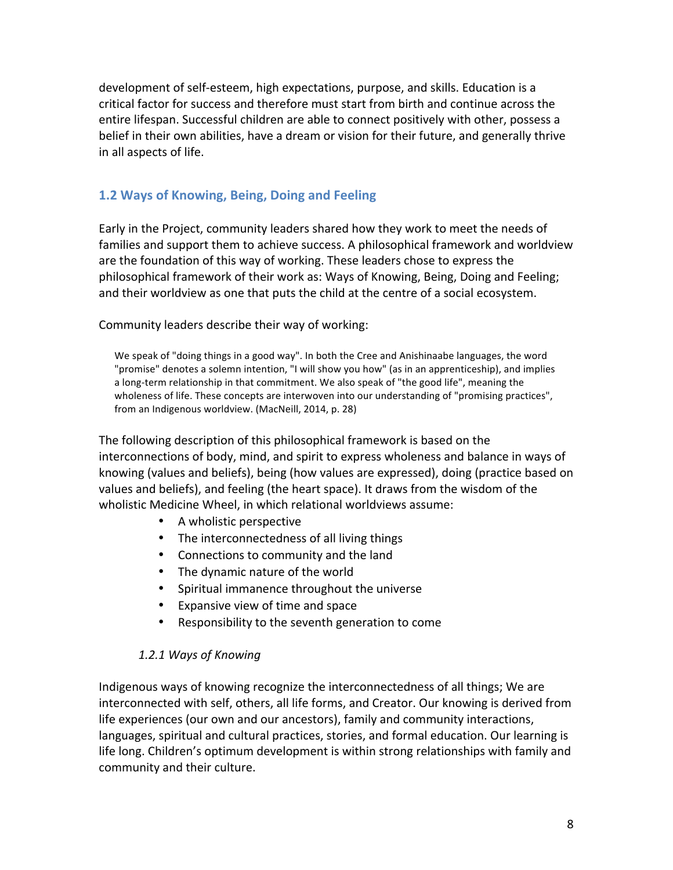development of self-esteem, high expectations, purpose, and skills. Education is a critical factor for success and therefore must start from birth and continue across the entire lifespan. Successful children are able to connect positively with other, possess a belief in their own abilities, have a dream or vision for their future, and generally thrive in all aspects of life.

## **1.2 Ways of Knowing, Being, Doing and Feeling**

Early in the Project, community leaders shared how they work to meet the needs of families and support them to achieve success. A philosophical framework and worldview are the foundation of this way of working. These leaders chose to express the philosophical framework of their work as: Ways of Knowing, Being, Doing and Feeling; and their worldview as one that puts the child at the centre of a social ecosystem.

Community leaders describe their way of working:

We speak of "doing things in a good way". In both the Cree and Anishinaabe languages, the word "promise" denotes a solemn intention, "I will show you how" (as in an apprenticeship), and implies a long-term relationship in that commitment. We also speak of "the good life", meaning the wholeness of life. These concepts are interwoven into our understanding of "promising practices", from an Indigenous worldview. (MacNeill, 2014, p. 28)

The following description of this philosophical framework is based on the interconnections of body, mind, and spirit to express wholeness and balance in ways of knowing (values and beliefs), being (how values are expressed), doing (practice based on values and beliefs), and feeling (the heart space). It draws from the wisdom of the wholistic Medicine Wheel, in which relational worldviews assume:

- A wholistic perspective
- The interconnectedness of all living things
- Connections to community and the land
- The dynamic nature of the world
- Spiritual immanence throughout the universe
- Expansive view of time and space
- Responsibility to the seventh generation to come

## *1.2.1 Ways of Knowing*

Indigenous ways of knowing recognize the interconnectedness of all things; We are interconnected with self, others, all life forms, and Creator. Our knowing is derived from life experiences (our own and our ancestors), family and community interactions, languages, spiritual and cultural practices, stories, and formal education. Our learning is life long. Children's optimum development is within strong relationships with family and community and their culture.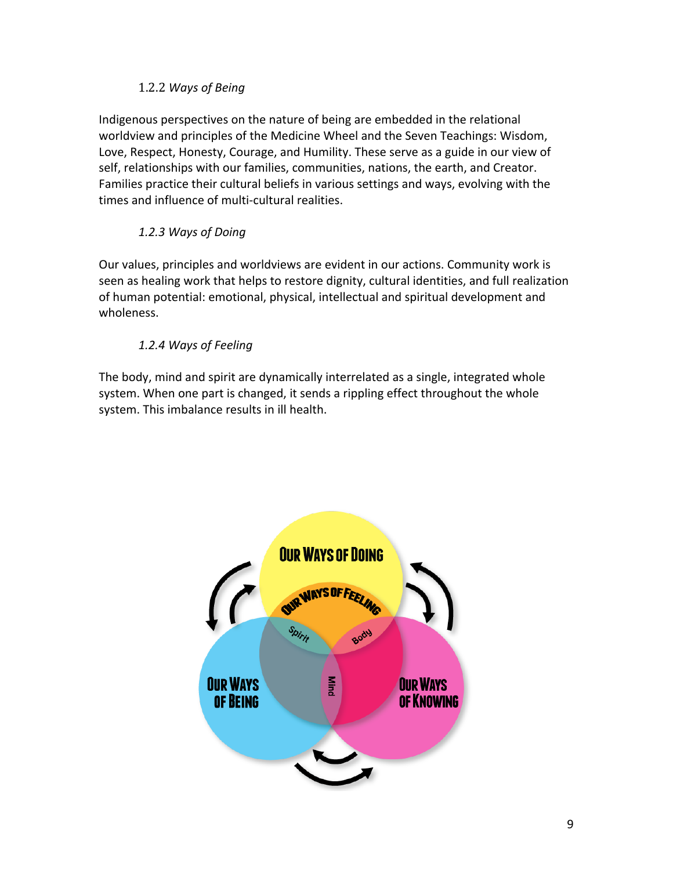## 1.2.2 *Ways of Being*

Indigenous perspectives on the nature of being are embedded in the relational worldview and principles of the Medicine Wheel and the Seven Teachings: Wisdom, Love, Respect, Honesty, Courage, and Humility. These serve as a guide in our view of self, relationships with our families, communities, nations, the earth, and Creator. Families practice their cultural beliefs in various settings and ways, evolving with the times and influence of multi-cultural realities.

## *1.2.3 Ways of Doing*

Our values, principles and worldviews are evident in our actions. Community work is seen as healing work that helps to restore dignity, cultural identities, and full realization of human potential: emotional, physical, intellectual and spiritual development and wholeness.

## *1.2.4 Ways of Feeling*

The body, mind and spirit are dynamically interrelated as a single, integrated whole system. When one part is changed, it sends a rippling effect throughout the whole system. This imbalance results in ill health.

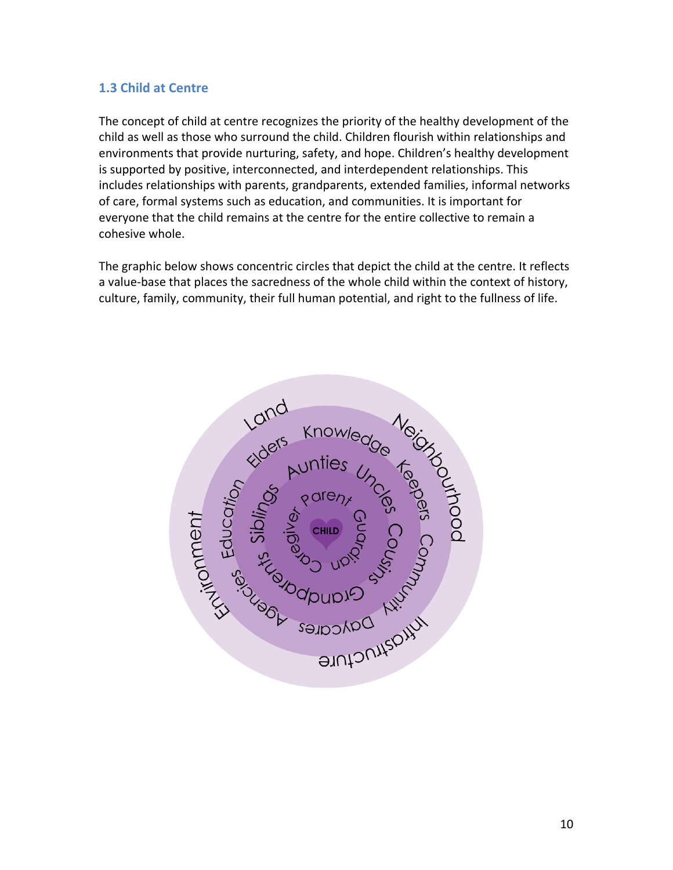## **1.3 Child at Centre**

The concept of child at centre recognizes the priority of the healthy development of the child as well as those who surround the child. Children flourish within relationships and environments that provide nurturing, safety, and hope. Children's healthy development is supported by positive, interconnected, and interdependent relationships. This includes relationships with parents, grandparents, extended families, informal networks of care, formal systems such as education, and communities. It is important for everyone that the child remains at the centre for the entire collective to remain a cohesive whole.

The graphic below shows concentric circles that depict the child at the centre. It reflects a value-base that places the sacredness of the whole child within the context of history, culture, family, community, their full human potential, and right to the fullness of life.

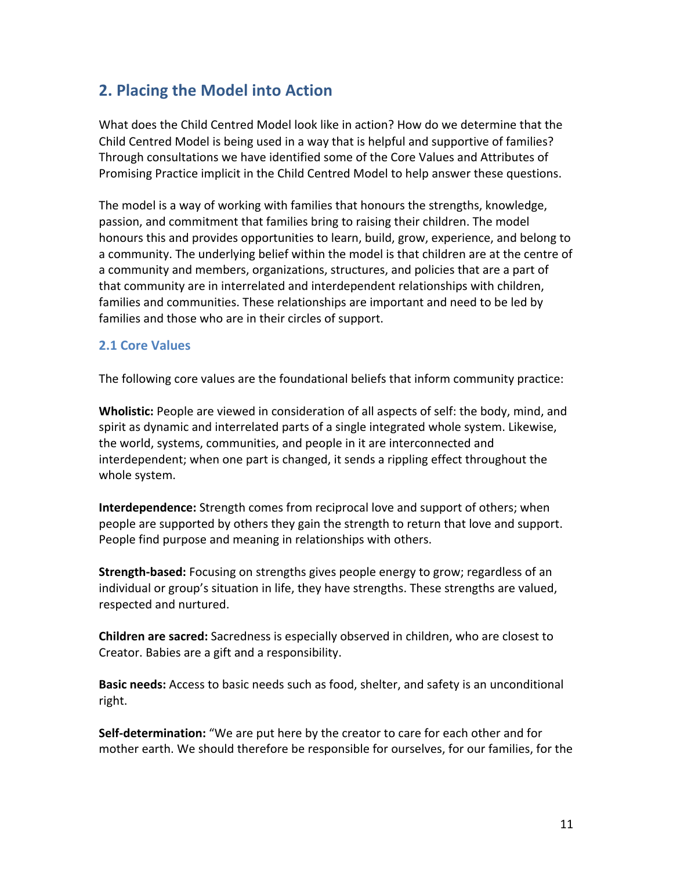# **2. Placing the Model into Action**

What does the Child Centred Model look like in action? How do we determine that the Child Centred Model is being used in a way that is helpful and supportive of families? Through consultations we have identified some of the Core Values and Attributes of Promising Practice implicit in the Child Centred Model to help answer these questions.

The model is a way of working with families that honours the strengths, knowledge, passion, and commitment that families bring to raising their children. The model honours this and provides opportunities to learn, build, grow, experience, and belong to a community. The underlying belief within the model is that children are at the centre of a community and members, organizations, structures, and policies that are a part of that community are in interrelated and interdependent relationships with children, families and communities. These relationships are important and need to be led by families and those who are in their circles of support.

## **2.1 Core Values**

The following core values are the foundational beliefs that inform community practice:

**Wholistic:** People are viewed in consideration of all aspects of self: the body, mind, and spirit as dynamic and interrelated parts of a single integrated whole system. Likewise, the world, systems, communities, and people in it are interconnected and interdependent; when one part is changed, it sends a rippling effect throughout the whole system.

**Interdependence:** Strength comes from reciprocal love and support of others; when people are supported by others they gain the strength to return that love and support. People find purpose and meaning in relationships with others.

**Strength-based:** Focusing on strengths gives people energy to grow; regardless of an individual or group's situation in life, they have strengths. These strengths are valued, respected and nurtured.

**Children are sacred:** Sacredness is especially observed in children, who are closest to Creator. Babies are a gift and a responsibility.

Basic needs: Access to basic needs such as food, shelter, and safety is an unconditional right.

**Self-determination:** "We are put here by the creator to care for each other and for mother earth. We should therefore be responsible for ourselves, for our families, for the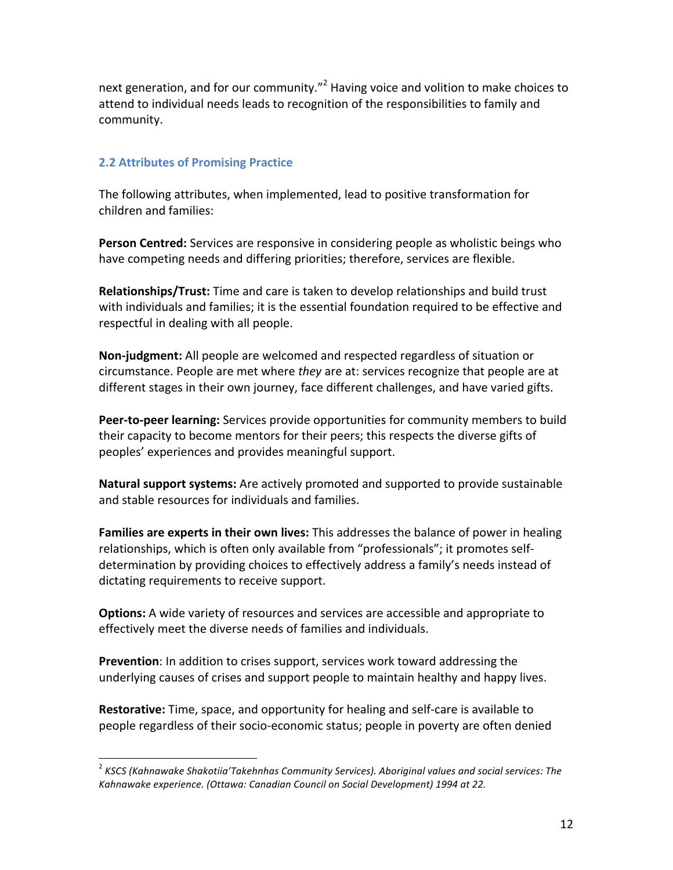next generation, and for our community."<sup>2</sup> Having voice and volition to make choices to attend to individual needs leads to recognition of the responsibilities to family and community.

#### **2.2 Attributes of Promising Practice**

The following attributes, when implemented, lead to positive transformation for children and families:

**Person Centred:** Services are responsive in considering people as wholistic beings who have competing needs and differing priorities; therefore, services are flexible.

**Relationships/Trust:** Time and care is taken to develop relationships and build trust with individuals and families; it is the essential foundation required to be effective and respectful in dealing with all people.

**Non-judgment:** All people are welcomed and respected regardless of situation or circumstance. People are met where *they* are at: services recognize that people are at different stages in their own journey, face different challenges, and have varied gifts.

**Peer-to-peer learning:** Services provide opportunities for community members to build their capacity to become mentors for their peers; this respects the diverse gifts of peoples' experiences and provides meaningful support.

**Natural support systems:** Are actively promoted and supported to provide sustainable and stable resources for individuals and families.

**Families are experts in their own lives:** This addresses the balance of power in healing relationships, which is often only available from "professionals"; it promotes selfdetermination by providing choices to effectively address a family's needs instead of dictating requirements to receive support.

**Options:** A wide variety of resources and services are accessible and appropriate to effectively meet the diverse needs of families and individuals.

**Prevention**: In addition to crises support, services work toward addressing the underlying causes of crises and support people to maintain healthy and happy lives.

**Restorative:** Time, space, and opportunity for healing and self-care is available to people regardless of their socio-economic status; people in poverty are often denied

<sup>&</sup>lt;sup>2</sup> KSCS (Kahnawake Shakotiia'Takehnhas Community Services). Aboriginal values and social services: The Kahnawake experience. (Ottawa: Canadian Council on Social Development) 1994 at 22.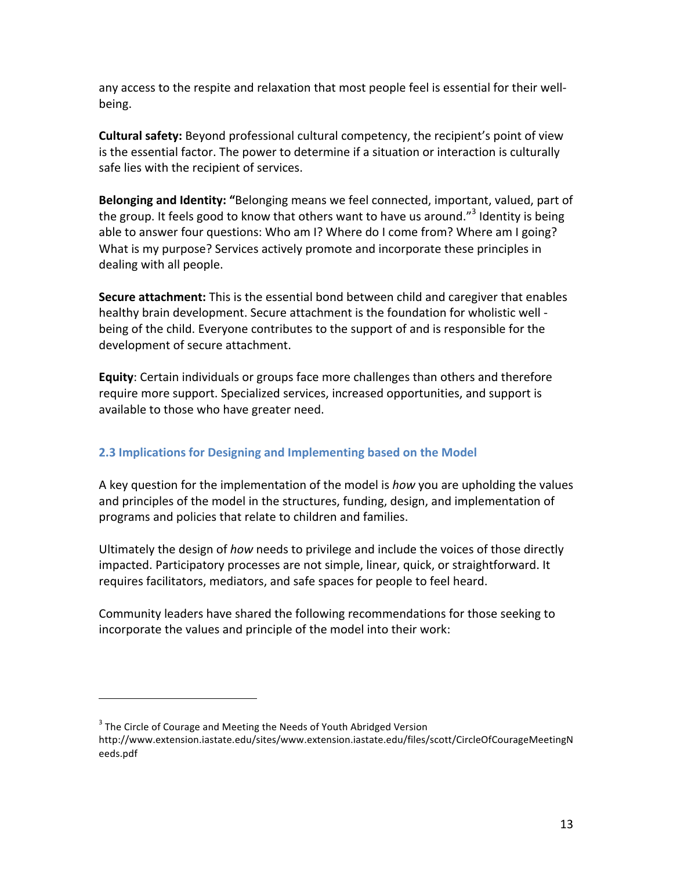any access to the respite and relaxation that most people feel is essential for their wellbeing.

**Cultural safety:** Beyond professional cultural competency, the recipient's point of view is the essential factor. The power to determine if a situation or interaction is culturally safe lies with the recipient of services.

**Belonging and Identity:** "Belonging means we feel connected, important, valued, part of the group. It feels good to know that others want to have us around."<sup>3</sup> Identity is being able to answer four questions: Who am I? Where do I come from? Where am I going? What is my purpose? Services actively promote and incorporate these principles in dealing with all people.

**Secure attachment:** This is the essential bond between child and caregiver that enables healthy brain development. Secure attachment is the foundation for wholistic well being of the child. Everyone contributes to the support of and is responsible for the development of secure attachment.

**Equity**: Certain individuals or groups face more challenges than others and therefore require more support. Specialized services, increased opportunities, and support is available to those who have greater need.

## **2.3 Implications for Designing and Implementing based on the Model**

A key question for the implementation of the model is *how* you are upholding the values and principles of the model in the structures, funding, design, and implementation of programs and policies that relate to children and families.

Ultimately the design of *how* needs to privilege and include the voices of those directly impacted. Participatory processes are not simple, linear, quick, or straightforward. It requires facilitators, mediators, and safe spaces for people to feel heard.

Community leaders have shared the following recommendations for those seeking to incorporate the values and principle of the model into their work:

 

 $3$  The Circle of Courage and Meeting the Needs of Youth Abridged Version

http://www.extension.iastate.edu/sites/www.extension.iastate.edu/files/scott/CircleOfCourageMeetingN eeds.pdf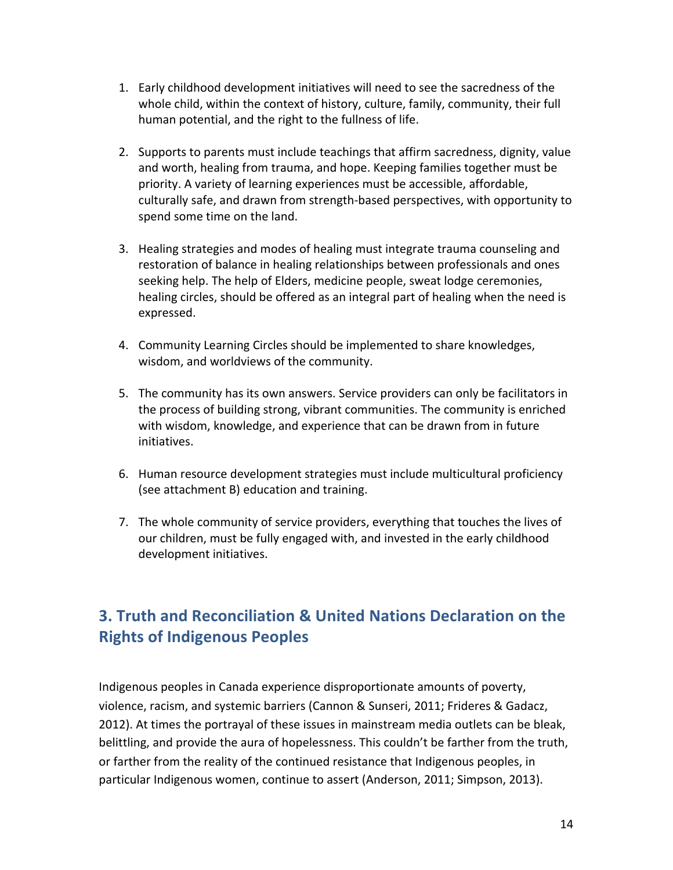- 1. Early childhood development initiatives will need to see the sacredness of the whole child, within the context of history, culture, family, community, their full human potential, and the right to the fullness of life.
- 2. Supports to parents must include teachings that affirm sacredness, dignity, value and worth, healing from trauma, and hope. Keeping families together must be priority. A variety of learning experiences must be accessible, affordable, culturally safe, and drawn from strength-based perspectives, with opportunity to spend some time on the land.
- 3. Healing strategies and modes of healing must integrate trauma counseling and restoration of balance in healing relationships between professionals and ones seeking help. The help of Elders, medicine people, sweat lodge ceremonies, healing circles, should be offered as an integral part of healing when the need is expressed.
- 4. Community Learning Circles should be implemented to share knowledges, wisdom, and worldviews of the community.
- 5. The community has its own answers. Service providers can only be facilitators in the process of building strong, vibrant communities. The community is enriched with wisdom, knowledge, and experience that can be drawn from in future initiatives.
- 6. Human resource development strategies must include multicultural proficiency (see attachment B) education and training.
- 7. The whole community of service providers, everything that touches the lives of our children, must be fully engaged with, and invested in the early childhood development initiatives.

# **3. Truth and Reconciliation & United Nations Declaration on the Rights of Indigenous Peoples**

Indigenous peoples in Canada experience disproportionate amounts of poverty, violence, racism, and systemic barriers (Cannon & Sunseri, 2011; Frideres & Gadacz, 2012). At times the portrayal of these issues in mainstream media outlets can be bleak, belittling, and provide the aura of hopelessness. This couldn't be farther from the truth, or farther from the reality of the continued resistance that Indigenous peoples, in particular Indigenous women, continue to assert (Anderson, 2011; Simpson, 2013).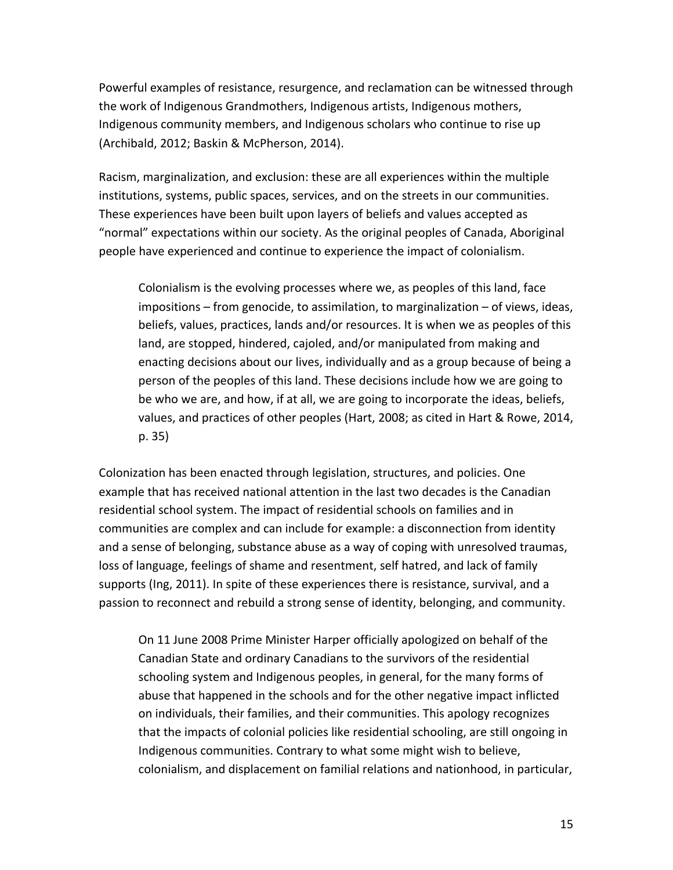Powerful examples of resistance, resurgence, and reclamation can be witnessed through the work of Indigenous Grandmothers, Indigenous artists, Indigenous mothers, Indigenous community members, and Indigenous scholars who continue to rise up (Archibald, 2012; Baskin & McPherson, 2014).

Racism, marginalization, and exclusion: these are all experiences within the multiple institutions, systems, public spaces, services, and on the streets in our communities. These experiences have been built upon layers of beliefs and values accepted as "normal" expectations within our society. As the original peoples of Canada, Aboriginal people have experienced and continue to experience the impact of colonialism.

Colonialism is the evolving processes where we, as peoples of this land, face impositions  $-$  from genocide, to assimilation, to marginalization  $-$  of views, ideas, beliefs, values, practices, lands and/or resources. It is when we as peoples of this land, are stopped, hindered, cajoled, and/or manipulated from making and enacting decisions about our lives, individually and as a group because of being a person of the peoples of this land. These decisions include how we are going to be who we are, and how, if at all, we are going to incorporate the ideas, beliefs, values, and practices of other peoples (Hart, 2008; as cited in Hart & Rowe, 2014, p. 35)

Colonization has been enacted through legislation, structures, and policies. One example that has received national attention in the last two decades is the Canadian residential school system. The impact of residential schools on families and in communities are complex and can include for example: a disconnection from identity and a sense of belonging, substance abuse as a way of coping with unresolved traumas, loss of language, feelings of shame and resentment, self hatred, and lack of family supports (Ing, 2011). In spite of these experiences there is resistance, survival, and a passion to reconnect and rebuild a strong sense of identity, belonging, and community.

On 11 June 2008 Prime Minister Harper officially apologized on behalf of the Canadian State and ordinary Canadians to the survivors of the residential schooling system and Indigenous peoples, in general, for the many forms of abuse that happened in the schools and for the other negative impact inflicted on individuals, their families, and their communities. This apology recognizes that the impacts of colonial policies like residential schooling, are still ongoing in Indigenous communities. Contrary to what some might wish to believe, colonialism, and displacement on familial relations and nationhood, in particular,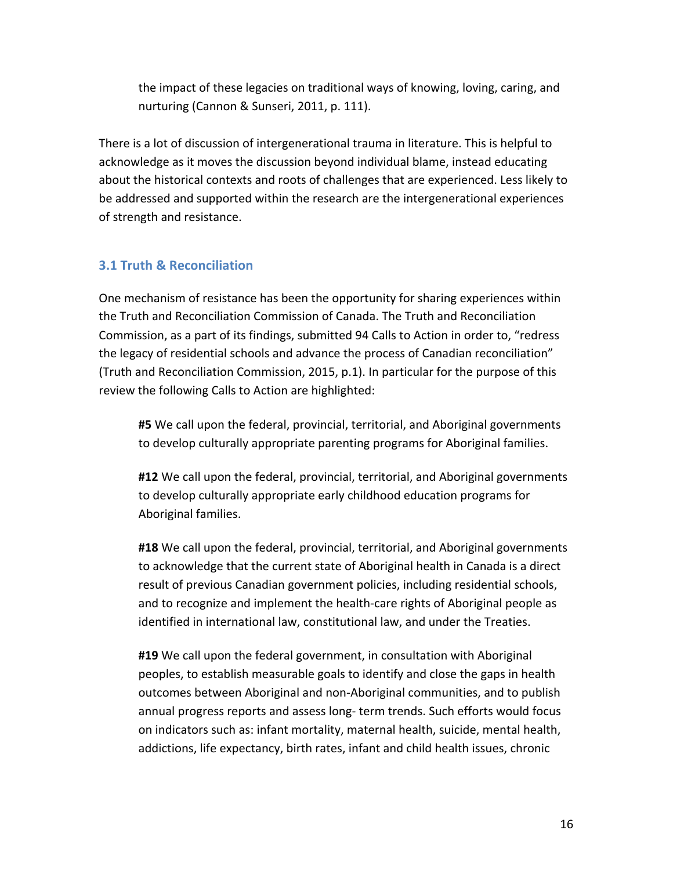the impact of these legacies on traditional ways of knowing, loving, caring, and nurturing (Cannon & Sunseri, 2011, p. 111).

There is a lot of discussion of intergenerational trauma in literature. This is helpful to acknowledge as it moves the discussion beyond individual blame, instead educating about the historical contexts and roots of challenges that are experienced. Less likely to be addressed and supported within the research are the intergenerational experiences of strength and resistance.

## **3.1 Truth & Reconciliation**

One mechanism of resistance has been the opportunity for sharing experiences within the Truth and Reconciliation Commission of Canada. The Truth and Reconciliation Commission, as a part of its findings, submitted 94 Calls to Action in order to, "redress the legacy of residential schools and advance the process of Canadian reconciliation" (Truth and Reconciliation Commission, 2015, p.1). In particular for the purpose of this review the following Calls to Action are highlighted:

#5 We call upon the federal, provincial, territorial, and Aboriginal governments to develop culturally appropriate parenting programs for Aboriginal families.

#12 We call upon the federal, provincial, territorial, and Aboriginal governments to develop culturally appropriate early childhood education programs for Aboriginal families.

**#18** We call upon the federal, provincial, territorial, and Aboriginal governments to acknowledge that the current state of Aboriginal health in Canada is a direct result of previous Canadian government policies, including residential schools, and to recognize and implement the health-care rights of Aboriginal people as identified in international law, constitutional law, and under the Treaties.

**#19** We call upon the federal government, in consultation with Aboriginal peoples, to establish measurable goals to identify and close the gaps in health outcomes between Aboriginal and non-Aboriginal communities, and to publish annual progress reports and assess long- term trends. Such efforts would focus on indicators such as: infant mortality, maternal health, suicide, mental health, addictions, life expectancy, birth rates, infant and child health issues, chronic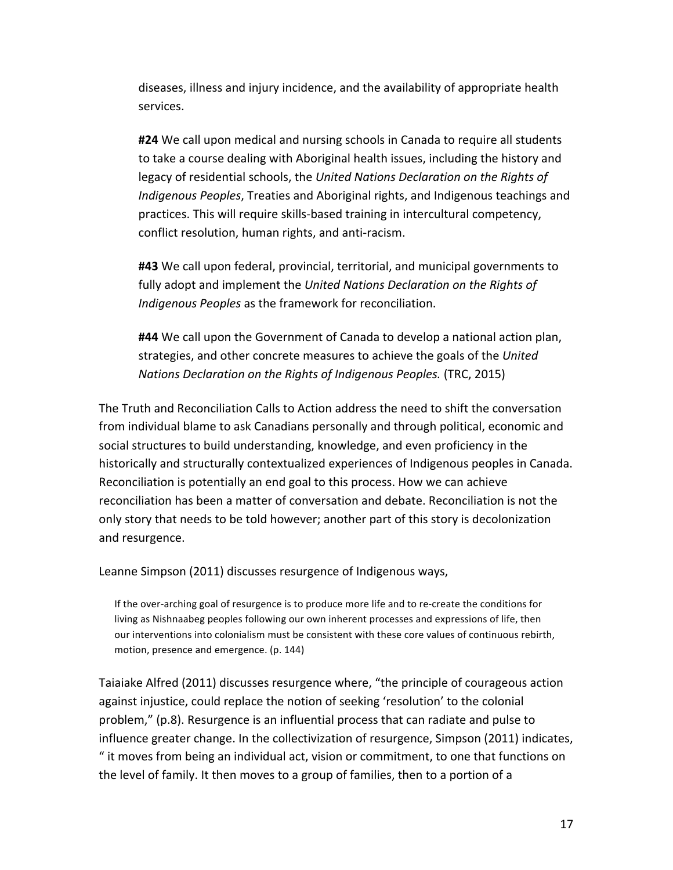diseases, illness and injury incidence, and the availability of appropriate health services. 

#24 We call upon medical and nursing schools in Canada to require all students to take a course dealing with Aboriginal health issues, including the history and legacy of residential schools, the United Nations Declaration on the Rights of *Indigenous Peoples*, Treaties and Aboriginal rights, and Indigenous teachings and practices. This will require skills-based training in intercultural competency, conflict resolution, human rights, and anti-racism.

#43 We call upon federal, provincial, territorial, and municipal governments to fully adopt and implement the *United Nations Declaration on the Rights of* Indigenous Peoples as the framework for reconciliation.

#44 We call upon the Government of Canada to develop a national action plan, strategies, and other concrete measures to achieve the goals of the United *Nations Declaration on the Rights of Indigenous Peoples.* (TRC, 2015)

The Truth and Reconciliation Calls to Action address the need to shift the conversation from individual blame to ask Canadians personally and through political, economic and social structures to build understanding, knowledge, and even proficiency in the historically and structurally contextualized experiences of Indigenous peoples in Canada. Reconciliation is potentially an end goal to this process. How we can achieve reconciliation has been a matter of conversation and debate. Reconciliation is not the only story that needs to be told however; another part of this story is decolonization and resurgence.

Leanne Simpson (2011) discusses resurgence of Indigenous ways,

If the over-arching goal of resurgence is to produce more life and to re-create the conditions for living as Nishnaabeg peoples following our own inherent processes and expressions of life, then our interventions into colonialism must be consistent with these core values of continuous rebirth, motion, presence and emergence. (p. 144)

Taiaiake Alfred (2011) discusses resurgence where, "the principle of courageous action against injustice, could replace the notion of seeking 'resolution' to the colonial problem," (p.8). Resurgence is an influential process that can radiate and pulse to influence greater change. In the collectivization of resurgence, Simpson (2011) indicates, " it moves from being an individual act, vision or commitment, to one that functions on the level of family. It then moves to a group of families, then to a portion of a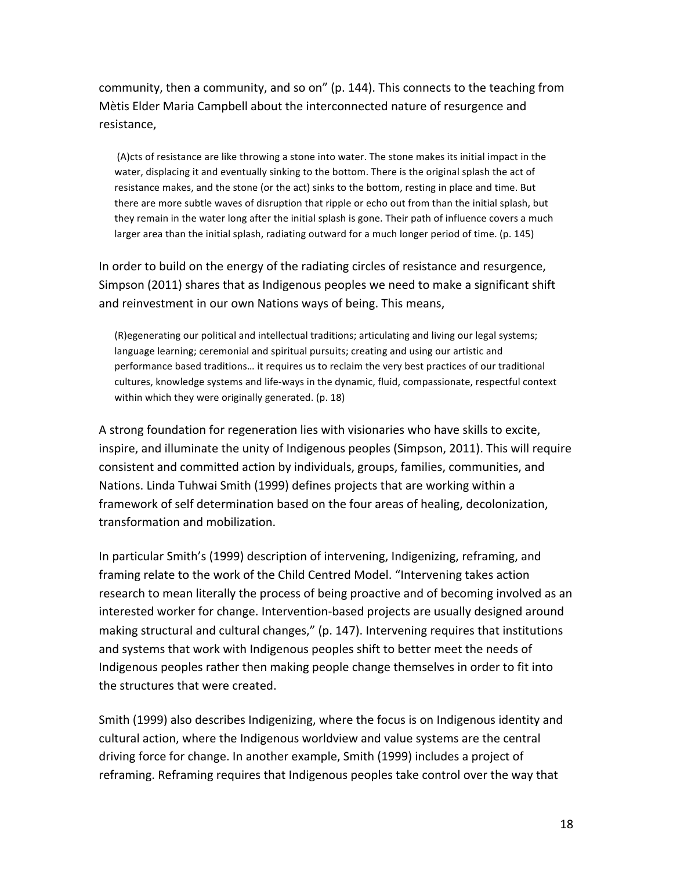community, then a community, and so on" (p. 144). This connects to the teaching from Mètis Elder Maria Campbell about the interconnected nature of resurgence and resistance,

(A)cts of resistance are like throwing a stone into water. The stone makes its initial impact in the water, displacing it and eventually sinking to the bottom. There is the original splash the act of resistance makes, and the stone (or the act) sinks to the bottom, resting in place and time. But there are more subtle waves of disruption that ripple or echo out from than the initial splash, but they remain in the water long after the initial splash is gone. Their path of influence covers a much larger area than the initial splash, radiating outward for a much longer period of time. (p. 145)

In order to build on the energy of the radiating circles of resistance and resurgence, Simpson (2011) shares that as Indigenous peoples we need to make a significant shift and reinvestment in our own Nations ways of being. This means,

(R)egenerating our political and intellectual traditions; articulating and living our legal systems; language learning; ceremonial and spiritual pursuits; creating and using our artistic and performance based traditions... it requires us to reclaim the very best practices of our traditional cultures, knowledge systems and life-ways in the dynamic, fluid, compassionate, respectful context within which they were originally generated. (p. 18)

A strong foundation for regeneration lies with visionaries who have skills to excite, inspire, and illuminate the unity of Indigenous peoples (Simpson, 2011). This will require consistent and committed action by individuals, groups, families, communities, and Nations. Linda Tuhwai Smith (1999) defines projects that are working within a framework of self determination based on the four areas of healing, decolonization, transformation and mobilization.

In particular Smith's (1999) description of intervening, Indigenizing, reframing, and framing relate to the work of the Child Centred Model. "Intervening takes action research to mean literally the process of being proactive and of becoming involved as an interested worker for change. Intervention-based projects are usually designed around making structural and cultural changes," (p. 147). Intervening requires that institutions and systems that work with Indigenous peoples shift to better meet the needs of Indigenous peoples rather then making people change themselves in order to fit into the structures that were created.

Smith (1999) also describes Indigenizing, where the focus is on Indigenous identity and cultural action, where the Indigenous worldview and value systems are the central driving force for change. In another example, Smith (1999) includes a project of reframing. Reframing requires that Indigenous peoples take control over the way that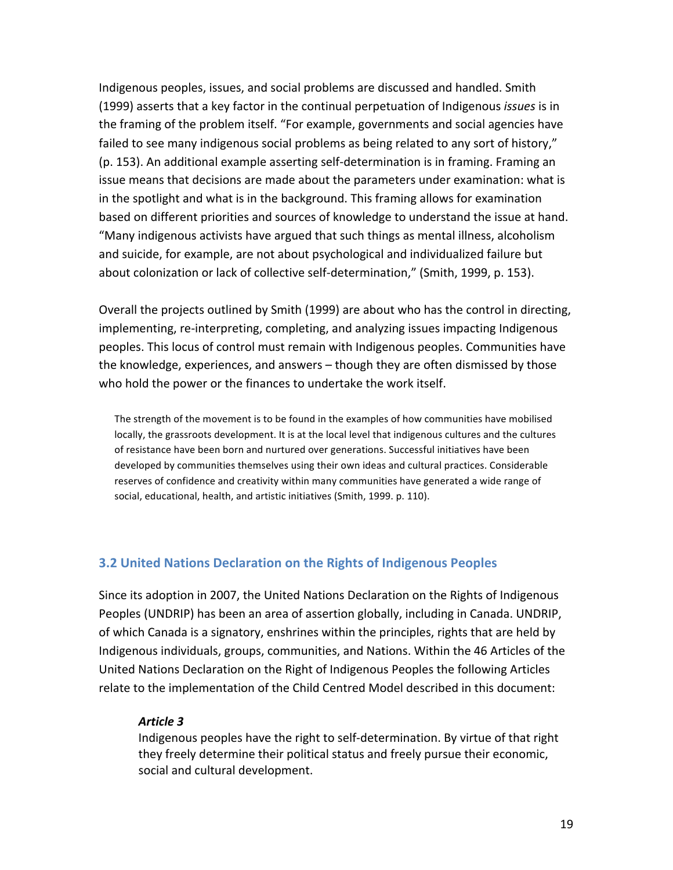Indigenous peoples, issues, and social problems are discussed and handled. Smith (1999) asserts that a key factor in the continual perpetuation of Indigenous *issues* is in the framing of the problem itself. "For example, governments and social agencies have failed to see many indigenous social problems as being related to any sort of history,"  $(p. 153)$ . An additional example asserting self-determination is in framing. Framing an issue means that decisions are made about the parameters under examination: what is in the spotlight and what is in the background. This framing allows for examination based on different priorities and sources of knowledge to understand the issue at hand. "Many indigenous activists have argued that such things as mental illness, alcoholism and suicide, for example, are not about psychological and individualized failure but about colonization or lack of collective self-determination," (Smith, 1999, p. 153).

Overall the projects outlined by Smith (1999) are about who has the control in directing, implementing, re-interpreting, completing, and analyzing issues impacting Indigenous peoples. This locus of control must remain with Indigenous peoples. Communities have the knowledge, experiences, and answers – though they are often dismissed by those who hold the power or the finances to undertake the work itself.

The strength of the movement is to be found in the examples of how communities have mobilised locally, the grassroots development. It is at the local level that indigenous cultures and the cultures of resistance have been born and nurtured over generations. Successful initiatives have been developed by communities themselves using their own ideas and cultural practices. Considerable reserves of confidence and creativity within many communities have generated a wide range of social, educational, health, and artistic initiatives (Smith, 1999. p. 110).

#### **3.2 United Nations Declaration on the Rights of Indigenous Peoples**

Since its adoption in 2007, the United Nations Declaration on the Rights of Indigenous Peoples (UNDRIP) has been an area of assertion globally, including in Canada. UNDRIP, of which Canada is a signatory, enshrines within the principles, rights that are held by Indigenous individuals, groups, communities, and Nations. Within the 46 Articles of the United Nations Declaration on the Right of Indigenous Peoples the following Articles relate to the implementation of the Child Centred Model described in this document:

#### *Article 3*

Indigenous peoples have the right to self-determination. By virtue of that right they freely determine their political status and freely pursue their economic, social and cultural development.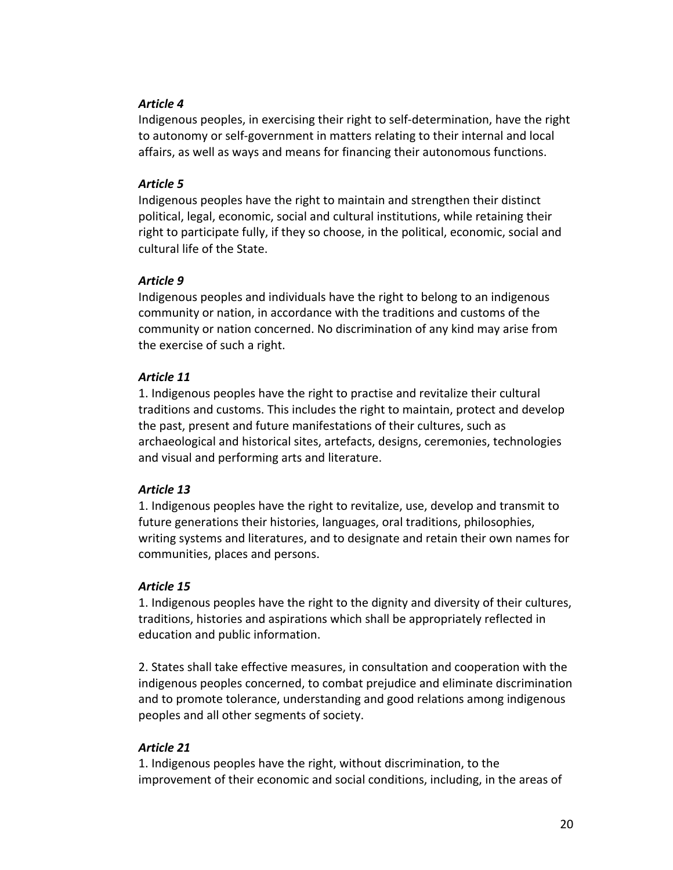#### *Article 4*

Indigenous peoples, in exercising their right to self-determination, have the right to autonomy or self-government in matters relating to their internal and local affairs, as well as ways and means for financing their autonomous functions.

#### *Article 5*

Indigenous peoples have the right to maintain and strengthen their distinct political, legal, economic, social and cultural institutions, while retaining their right to participate fully, if they so choose, in the political, economic, social and cultural life of the State.

#### *Article 9*

Indigenous peoples and individuals have the right to belong to an indigenous community or nation, in accordance with the traditions and customs of the community or nation concerned. No discrimination of any kind may arise from the exercise of such a right.

#### *Article 11*

1. Indigenous peoples have the right to practise and revitalize their cultural traditions and customs. This includes the right to maintain, protect and develop the past, present and future manifestations of their cultures, such as archaeological and historical sites, artefacts, designs, ceremonies, technologies and visual and performing arts and literature.

#### *Article 13*

1. Indigenous peoples have the right to revitalize, use, develop and transmit to future generations their histories, languages, oral traditions, philosophies, writing systems and literatures, and to designate and retain their own names for communities, places and persons.

#### *Article 15*

1. Indigenous peoples have the right to the dignity and diversity of their cultures, traditions, histories and aspirations which shall be appropriately reflected in education and public information.

2. States shall take effective measures, in consultation and cooperation with the indigenous peoples concerned, to combat prejudice and eliminate discrimination and to promote tolerance, understanding and good relations among indigenous peoples and all other segments of society.

#### *Article 21*

1. Indigenous peoples have the right, without discrimination, to the improvement of their economic and social conditions, including, in the areas of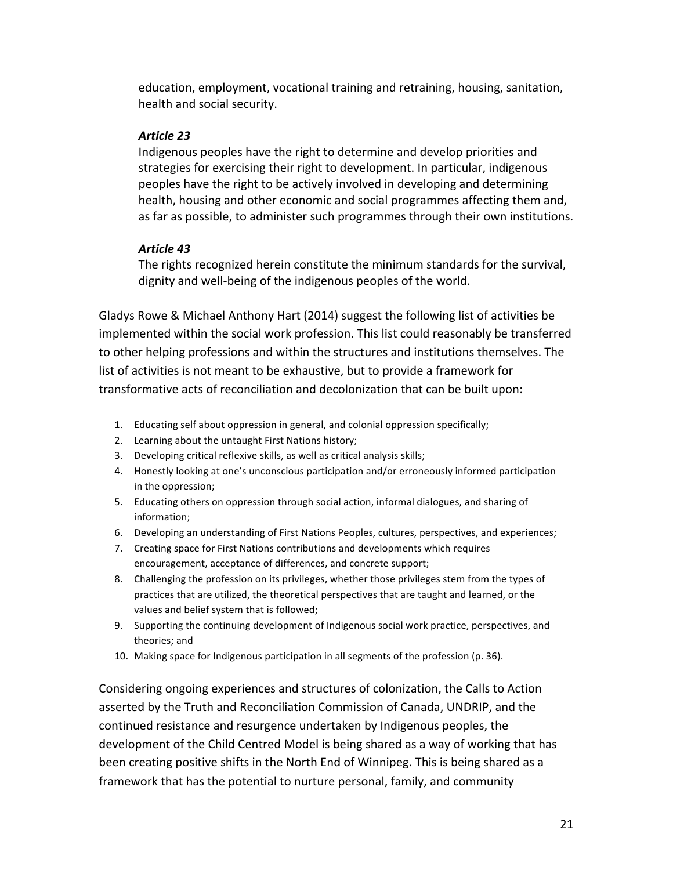education, employment, vocational training and retraining, housing, sanitation, health and social security.

### *Article 23*

Indigenous peoples have the right to determine and develop priorities and strategies for exercising their right to development. In particular, indigenous peoples have the right to be actively involved in developing and determining health, housing and other economic and social programmes affecting them and, as far as possible, to administer such programmes through their own institutions.

## *Article 43*

The rights recognized herein constitute the minimum standards for the survival, dignity and well-being of the indigenous peoples of the world.

Gladys Rowe & Michael Anthony Hart (2014) suggest the following list of activities be implemented within the social work profession. This list could reasonably be transferred to other helping professions and within the structures and institutions themselves. The list of activities is not meant to be exhaustive, but to provide a framework for transformative acts of reconciliation and decolonization that can be built upon:

- 1. Educating self about oppression in general, and colonial oppression specifically;
- 2. Learning about the untaught First Nations history;
- 3. Developing critical reflexive skills, as well as critical analysis skills;
- 4. Honestly looking at one's unconscious participation and/or erroneously informed participation in the oppression;
- 5. Educating others on oppression through social action, informal dialogues, and sharing of information;
- 6. Developing an understanding of First Nations Peoples, cultures, perspectives, and experiences;
- 7. Creating space for First Nations contributions and developments which requires encouragement, acceptance of differences, and concrete support;
- 8. Challenging the profession on its privileges, whether those privileges stem from the types of practices that are utilized, the theoretical perspectives that are taught and learned, or the values and belief system that is followed;
- 9. Supporting the continuing development of Indigenous social work practice, perspectives, and theories; and
- 10. Making space for Indigenous participation in all segments of the profession (p. 36).

Considering ongoing experiences and structures of colonization, the Calls to Action asserted by the Truth and Reconciliation Commission of Canada, UNDRIP, and the continued resistance and resurgence undertaken by Indigenous peoples, the development of the Child Centred Model is being shared as a way of working that has been creating positive shifts in the North End of Winnipeg. This is being shared as a framework that has the potential to nurture personal, family, and community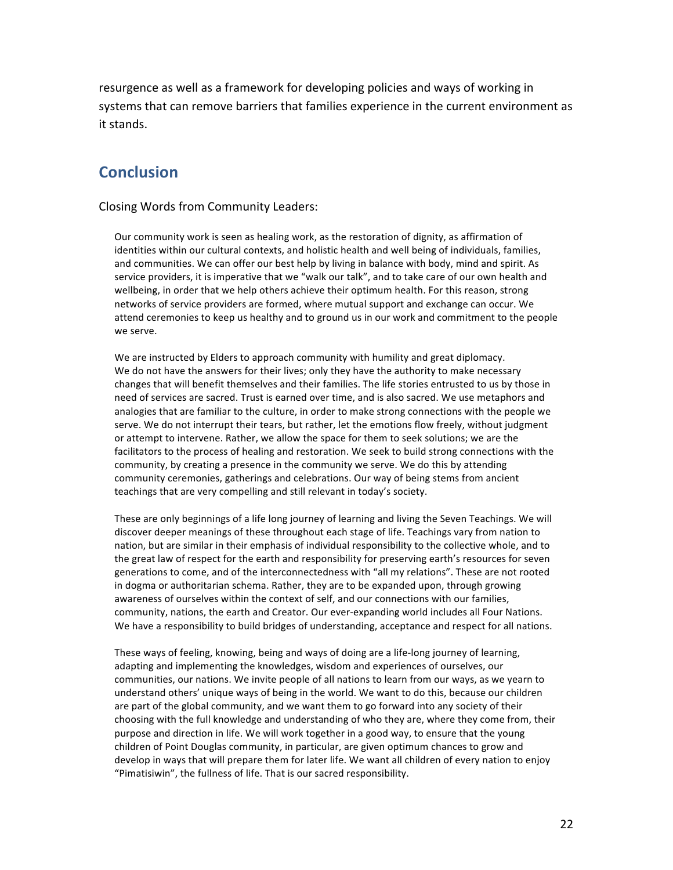resurgence as well as a framework for developing policies and ways of working in systems that can remove barriers that families experience in the current environment as it stands.

# **Conclusion**

#### Closing Words from Community Leaders:

Our community work is seen as healing work, as the restoration of dignity, as affirmation of identities within our cultural contexts, and holistic health and well being of individuals, families, and communities. We can offer our best help by living in balance with body, mind and spirit. As service providers, it is imperative that we "walk our talk", and to take care of our own health and wellbeing, in order that we help others achieve their optimum health. For this reason, strong networks of service providers are formed, where mutual support and exchange can occur. We attend ceremonies to keep us healthy and to ground us in our work and commitment to the people we serve.

We are instructed by Elders to approach community with humility and great diplomacy. We do not have the answers for their lives; only they have the authority to make necessary changes that will benefit themselves and their families. The life stories entrusted to us by those in need of services are sacred. Trust is earned over time, and is also sacred. We use metaphors and analogies that are familiar to the culture, in order to make strong connections with the people we serve. We do not interrupt their tears, but rather, let the emotions flow freely, without judgment or attempt to intervene. Rather, we allow the space for them to seek solutions; we are the facilitators to the process of healing and restoration. We seek to build strong connections with the community, by creating a presence in the community we serve. We do this by attending community ceremonies, gatherings and celebrations. Our way of being stems from ancient teachings that are very compelling and still relevant in today's society.

These are only beginnings of a life long journey of learning and living the Seven Teachings. We will discover deeper meanings of these throughout each stage of life. Teachings vary from nation to nation, but are similar in their emphasis of individual responsibility to the collective whole, and to the great law of respect for the earth and responsibility for preserving earth's resources for seven generations to come, and of the interconnectedness with "all my relations". These are not rooted in dogma or authoritarian schema. Rather, they are to be expanded upon, through growing awareness of ourselves within the context of self, and our connections with our families, community, nations, the earth and Creator. Our ever-expanding world includes all Four Nations. We have a responsibility to build bridges of understanding, acceptance and respect for all nations.

These ways of feeling, knowing, being and ways of doing are a life-long journey of learning, adapting and implementing the knowledges, wisdom and experiences of ourselves, our communities, our nations. We invite people of all nations to learn from our ways, as we yearn to understand others' unique ways of being in the world. We want to do this, because our children are part of the global community, and we want them to go forward into any society of their choosing with the full knowledge and understanding of who they are, where they come from, their purpose and direction in life. We will work together in a good way, to ensure that the young children of Point Douglas community, in particular, are given optimum chances to grow and develop in ways that will prepare them for later life. We want all children of every nation to enjoy "Pimatisiwin", the fullness of life. That is our sacred responsibility.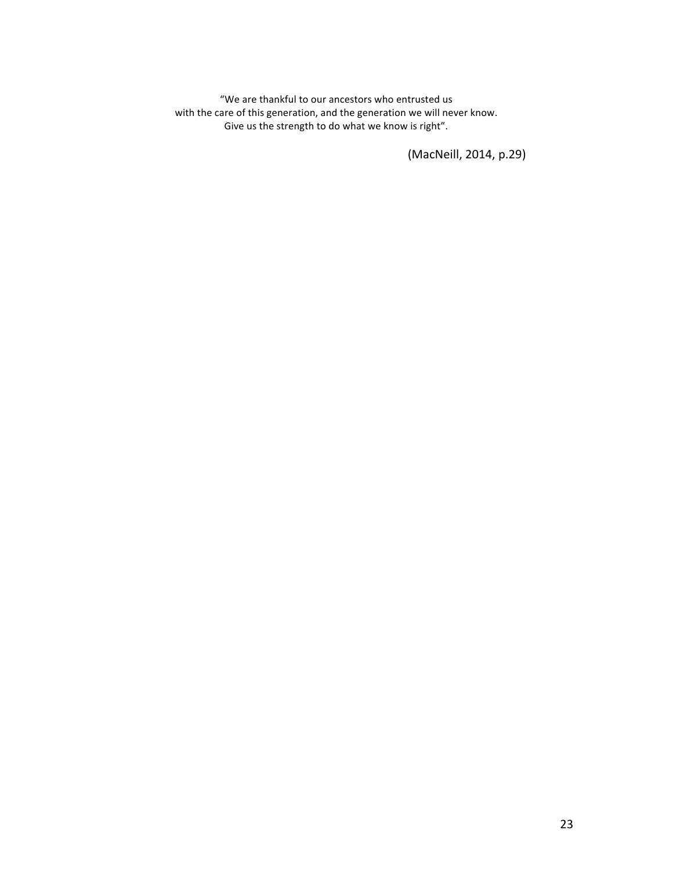"We are thankful to our ancestors who entrusted us with the care of this generation, and the generation we will never know. Give us the strength to do what we know is right".

(MacNeill, 2014, p.29)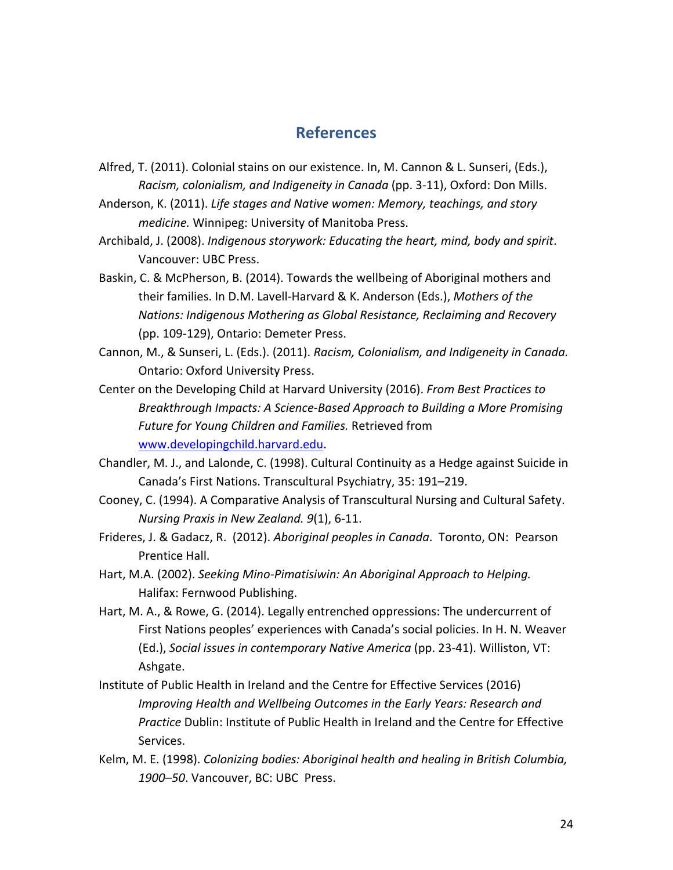## **References**

- Alfred, T. (2011). Colonial stains on our existence. In, M. Cannon & L. Sunseri, (Eds.), *Racism, colonialism, and Indigeneity in Canada* (pp. 3-11), Oxford: Don Mills.
- Anderson, K. (2011). Life stages and Native women: Memory, teachings, and story *medicine.* Winnipeg: University of Manitoba Press.
- Archibald, J. (2008). *Indigenous storywork: Educating the heart, mind, body and spirit.* Vancouver: UBC Press.
- Baskin, C. & McPherson, B. (2014). Towards the wellbeing of Aboriginal mothers and their families. In D.M. Lavell-Harvard & K. Anderson (Eds.), Mothers of the *Nations: Indigenous Mothering as Global Resistance, Reclaiming and Recovery* (pp. 109-129), Ontario: Demeter Press.
- Cannon, M., & Sunseri, L. (Eds.). (2011). *Racism, Colonialism, and Indigeneity in Canada.* **Ontario: Oxford University Press.**
- Center on the Developing Child at Harvard University (2016). *From Best Practices to Breakthrough Impacts: A Science-Based Approach to Building a More Promising* Future for Young Children and Families. Retrieved from www.developingchild.harvard.edu.
- Chandler, M. J., and Lalonde, C. (1998). Cultural Continuity as a Hedge against Suicide in Canada's First Nations. Transcultural Psychiatry, 35: 191-219.
- Cooney, C. (1994). A Comparative Analysis of Transcultural Nursing and Cultural Safety. *Nursing Praxis in New Zealand.* 9(1), 6-11.
- Frideres, J. & Gadacz, R. (2012). Aboriginal peoples in Canada. Toronto, ON: Pearson Prentice Hall.
- Hart, M.A. (2002). Seeking Mino-Pimatisiwin: An Aboriginal Approach to Helping. Halifax: Fernwood Publishing.
- Hart, M. A., & Rowe, G. (2014). Legally entrenched oppressions: The undercurrent of First Nations peoples' experiences with Canada's social policies. In H. N. Weaver (Ed.), Social issues in contemporary Native America (pp. 23-41). Williston, VT: Ashgate.
- Institute of Public Health in Ireland and the Centre for Effective Services (2016) *Improving Health and Wellbeing Outcomes in the Early Years: Research and Practice* Dublin: Institute of Public Health in Ireland and the Centre for Effective Services.
- Kelm, M. E. (1998). *Colonizing bodies: Aboriginal health and healing in British Columbia,* 1900–50. Vancouver, BC: UBC Press.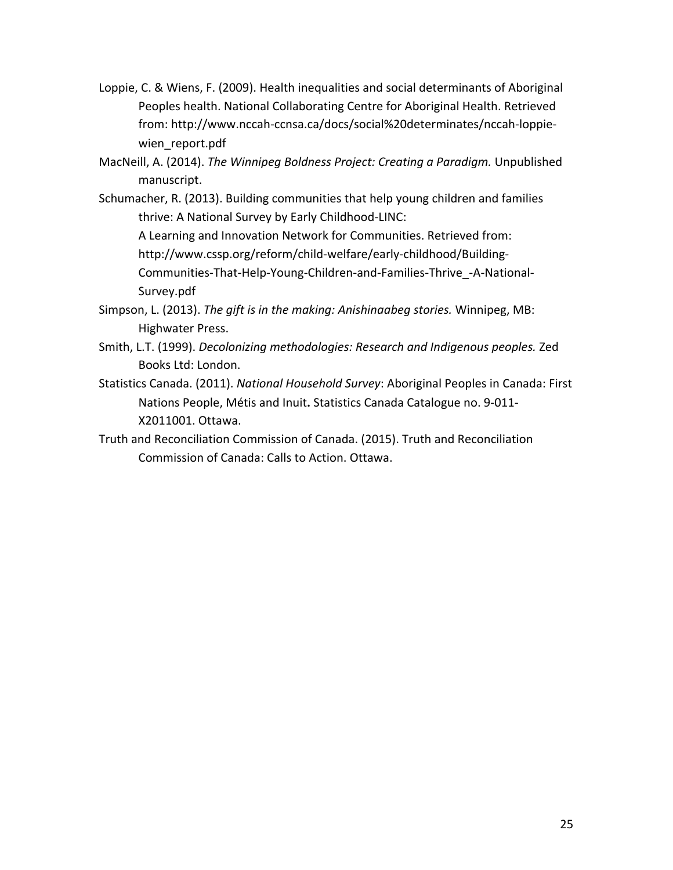- Loppie, C. & Wiens, F. (2009). Health inequalities and social determinants of Aboriginal Peoples health. National Collaborating Centre for Aboriginal Health. Retrieved from: http://www.nccah-ccnsa.ca/docs/social%20determinates/nccah-loppiewien report.pdf
- MacNeill, A. (2014). *The Winnipeg Boldness Project: Creating a Paradigm.* Unpublished manuscript.
- Schumacher, R. (2013). Building communities that help young children and families thrive: A National Survey by Early Childhood-LINC:

A Learning and Innovation Network for Communities. Retrieved from:

http://www.cssp.org/reform/child-welfare/early-childhood/Building-

Communities-That-Help-Young-Children-and-Families-Thrive\_-A-National-Survey.pdf

- Simpson, L. (2013). The gift is in the making: Anishinaabeg stories. Winnipeg, MB: Highwater Press.
- Smith, L.T. (1999). *Decolonizing methodologies: Research and Indigenous peoples.* Zed Books Ltd: London.
- Statistics Canada. (2011). *National Household Survey*: Aboriginal Peoples in Canada: First Nations People, Métis and Inuit. Statistics Canada Catalogue no. 9-011-X2011001. Ottawa.
- Truth and Reconciliation Commission of Canada. (2015). Truth and Reconciliation Commission of Canada: Calls to Action. Ottawa.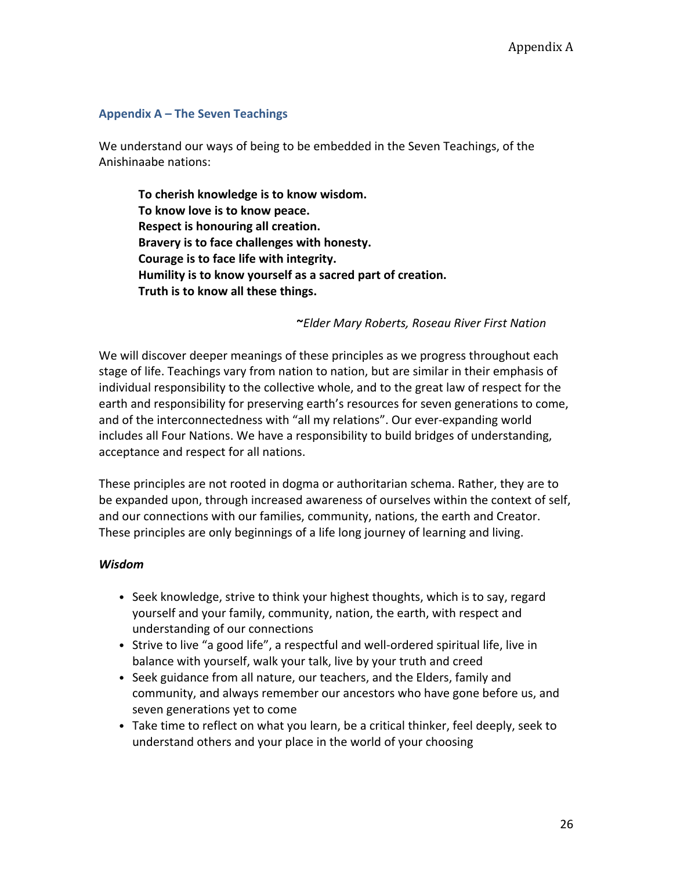#### **Appendix A – The Seven Teachings**

We understand our ways of being to be embedded in the Seven Teachings, of the Anishinaabe nations:

To cherish knowledge is to know wisdom. To know love is to know peace. **Respect is honouring all creation.** Bravery is to face challenges with honesty. Courage is to face life with integrity. Humility is to know yourself as a sacred part of creation. Truth is to know all these things.

**~***Elder Mary Roberts, Roseau River First Nation*

We will discover deeper meanings of these principles as we progress throughout each stage of life. Teachings vary from nation to nation, but are similar in their emphasis of individual responsibility to the collective whole, and to the great law of respect for the earth and responsibility for preserving earth's resources for seven generations to come, and of the interconnectedness with "all my relations". Our ever-expanding world includes all Four Nations. We have a responsibility to build bridges of understanding, acceptance and respect for all nations.

These principles are not rooted in dogma or authoritarian schema. Rather, they are to be expanded upon, through increased awareness of ourselves within the context of self, and our connections with our families, community, nations, the earth and Creator. These principles are only beginnings of a life long journey of learning and living.

#### *Wisdom*

- Seek knowledge, strive to think your highest thoughts, which is to say, regard yourself and your family, community, nation, the earth, with respect and understanding of our connections
- Strive to live "a good life", a respectful and well-ordered spiritual life, live in balance with yourself, walk your talk, live by your truth and creed
- Seek guidance from all nature, our teachers, and the Elders, family and community, and always remember our ancestors who have gone before us, and seven generations yet to come
- Take time to reflect on what you learn, be a critical thinker, feel deeply, seek to understand others and your place in the world of your choosing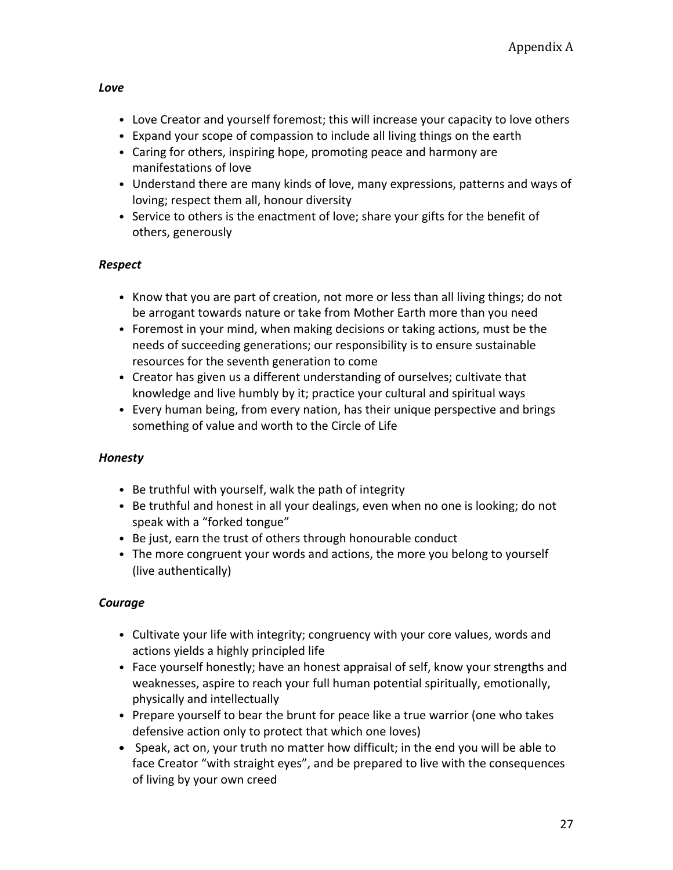#### *Love*

- Love Creator and yourself foremost; this will increase your capacity to love others
- Expand your scope of compassion to include all living things on the earth
- Caring for others, inspiring hope, promoting peace and harmony are manifestations of love
- Understand there are many kinds of love, many expressions, patterns and ways of loving; respect them all, honour diversity
- Service to others is the enactment of love; share your gifts for the benefit of others, generously

## *Respect*

- Know that you are part of creation, not more or less than all living things; do not be arrogant towards nature or take from Mother Earth more than you need
- Foremost in your mind, when making decisions or taking actions, must be the needs of succeeding generations; our responsibility is to ensure sustainable resources for the seventh generation to come
- Creator has given us a different understanding of ourselves; cultivate that knowledge and live humbly by it; practice your cultural and spiritual ways
- Every human being, from every nation, has their unique perspective and brings something of value and worth to the Circle of Life

#### *Honesty*

- Be truthful with yourself, walk the path of integrity
- Be truthful and honest in all your dealings, even when no one is looking; do not speak with a "forked tongue"
- Be just, earn the trust of others through honourable conduct
- The more congruent your words and actions, the more you belong to yourself (live authentically)

#### *Courage*

- Cultivate your life with integrity; congruency with your core values, words and actions yields a highly principled life
- Face yourself honestly; have an honest appraisal of self, know your strengths and weaknesses, aspire to reach your full human potential spiritually, emotionally, physically and intellectually
- Prepare yourself to bear the brunt for peace like a true warrior (one who takes defensive action only to protect that which one loves)
- Speak, act on, your truth no matter how difficult; in the end you will be able to face Creator "with straight eyes", and be prepared to live with the consequences of living by your own creed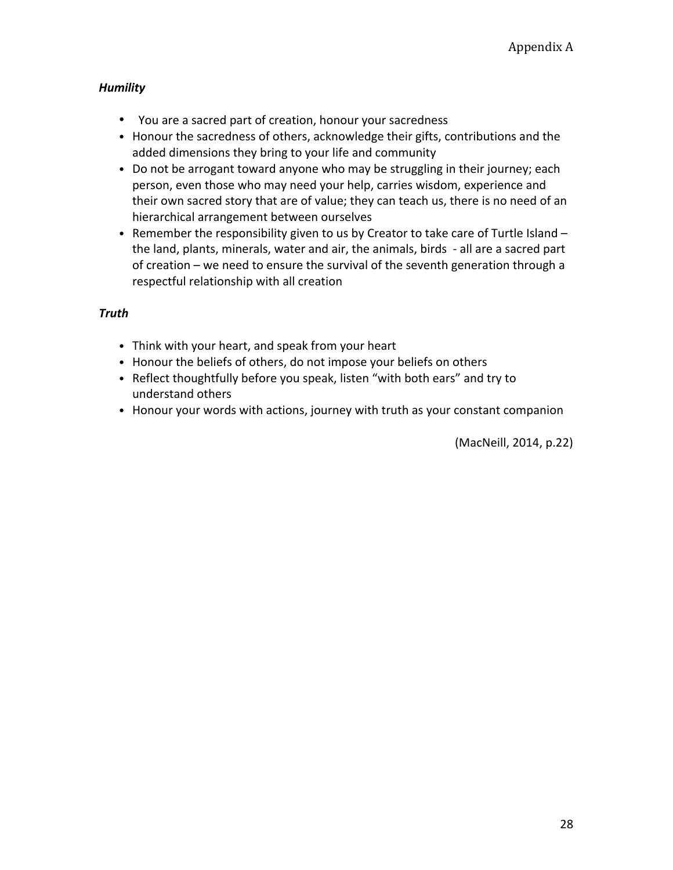### *Humility*

- You are a sacred part of creation, honour your sacredness
- Honour the sacredness of others, acknowledge their gifts, contributions and the added dimensions they bring to your life and community
- Do not be arrogant toward anyone who may be struggling in their journey; each person, even those who may need your help, carries wisdom, experience and their own sacred story that are of value; they can teach us, there is no need of an hierarchical arrangement between ourselves
- Remember the responsibility given to us by Creator to take care of Turtle Island the land, plants, minerals, water and air, the animals, birds - all are a sacred part of creation – we need to ensure the survival of the seventh generation through a respectful relationship with all creation

#### *Truth*

- Think with your heart, and speak from your heart
- Honour the beliefs of others, do not impose your beliefs on others
- Reflect thoughtfully before you speak, listen "with both ears" and try to understand others
- Honour your words with actions, journey with truth as your constant companion

(MacNeill, 2014, p.22)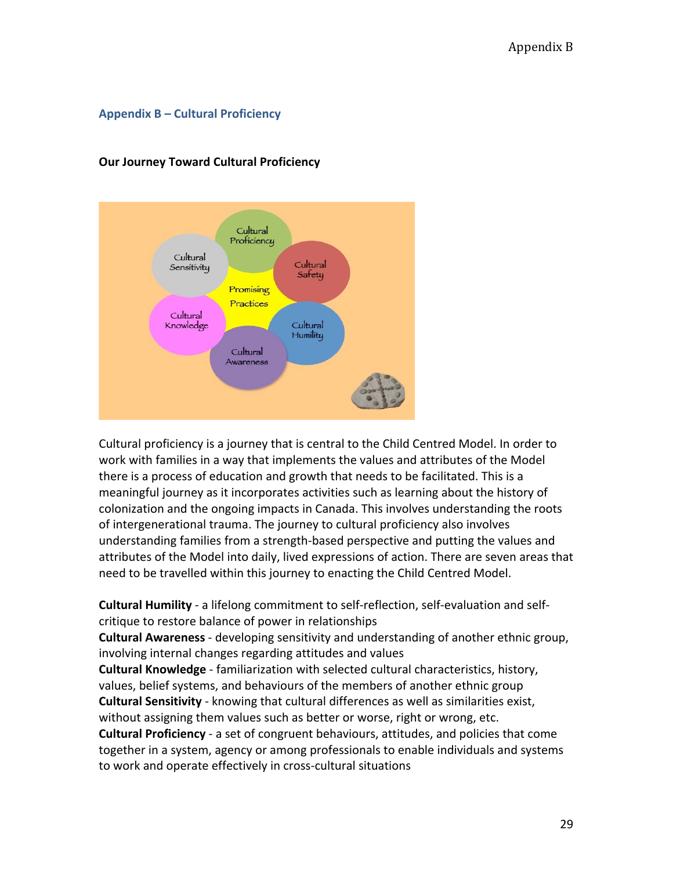#### **Appendix B – Cultural Proficiency**



#### **Our Journey Toward Cultural Proficiency**

Cultural proficiency is a journey that is central to the Child Centred Model. In order to work with families in a way that implements the values and attributes of the Model there is a process of education and growth that needs to be facilitated. This is a meaningful journey as it incorporates activities such as learning about the history of colonization and the ongoing impacts in Canada. This involves understanding the roots of intergenerational trauma. The journey to cultural proficiency also involves understanding families from a strength-based perspective and putting the values and attributes of the Model into daily, lived expressions of action. There are seven areas that need to be travelled within this journey to enacting the Child Centred Model.

**Cultural Humility** - a lifelong commitment to self-reflection, self-evaluation and selfcritique to restore balance of power in relationships

**Cultural Awareness** - developing sensitivity and understanding of another ethnic group, involving internal changes regarding attitudes and values

**Cultural Knowledge** - familiarization with selected cultural characteristics, history, values, belief systems, and behaviours of the members of another ethnic group **Cultural Sensitivity** - knowing that cultural differences as well as similarities exist, without assigning them values such as better or worse, right or wrong, etc.

**Cultural Proficiency** - a set of congruent behaviours, attitudes, and policies that come together in a system, agency or among professionals to enable individuals and systems to work and operate effectively in cross-cultural situations